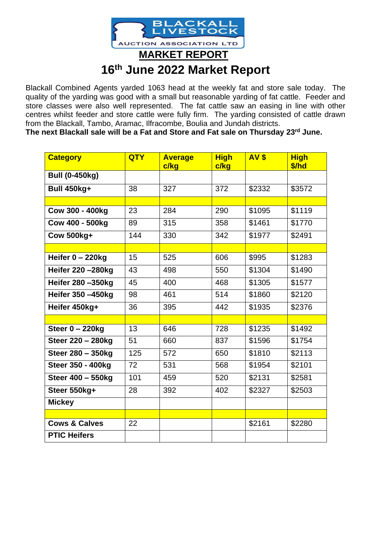

Blackall Combined Agents yarded 1063 head at the weekly fat and store sale today. The quality of the yarding was good with a small but reasonable yarding of fat cattle. Feeder and store classes were also well represented. The fat cattle saw an easing in line with other centres whilst feeder and store cattle were fully firm. The yarding consisted of cattle drawn from the Blackall, Tambo, Aramac, Ilfracombe, Boulia and Jundah districts.

**The next Blackall sale will be a Fat and Store and Fat sale on Thursday 23rd June.**

| <b>Category</b>          | <b>QTY</b> | <b>Average</b> | <b>High</b> | <b>AV \$</b> | <b>High</b> |
|--------------------------|------------|----------------|-------------|--------------|-------------|
|                          |            | c/kg           | c/kg        |              | \$/hd       |
| <b>Bull (0-450kg)</b>    |            |                |             |              |             |
| <b>Bull 450kg+</b>       | 38         | 327            | 372         | \$2332       | \$3572      |
|                          |            |                |             |              |             |
| Cow 300 - 400kg          | 23         | 284            | 290         | \$1095       | \$1119      |
| Cow 400 - 500kg          | 89         | 315            | 358         | \$1461       | \$1770      |
| <b>Cow 500kg+</b>        | 144        | 330            | 342         | \$1977       | \$2491      |
|                          |            |                |             |              |             |
| Heifer $0 - 220$ kg      | 15         | 525            | 606         | \$995        | \$1283      |
| Heifer 220 - 280kg       | 43         | 498            | 550         | \$1304       | \$1490      |
| Heifer 280 - 350kg       | 45         | 400            | 468         | \$1305       | \$1577      |
| Heifer 350 -450kg        | 98         | 461            | 514         | \$1860       | \$2120      |
| Heifer 450kg+            | 36         | 395            | 442         | \$1935       | \$2376      |
|                          |            |                |             |              |             |
| Steer $0 - 220$ kg       | 13         | 646            | 728         | \$1235       | \$1492      |
| Steer 220 - 280kg        | 51         | 660            | 837         | \$1596       | \$1754      |
| Steer 280 - 350kg        | 125        | 572            | 650         | \$1810       | \$2113      |
| Steer 350 - 400kg        | 72         | 531            | 568         | \$1954       | \$2101      |
| Steer 400 - 550kg        | 101        | 459            | 520         | \$2131       | \$2581      |
| Steer 550kg+             | 28         | 392            | 402         | \$2327       | \$2503      |
| <b>Mickey</b>            |            |                |             |              |             |
|                          |            |                |             |              |             |
| <b>Cows &amp; Calves</b> | 22         |                |             | \$2161       | \$2280      |
| <b>PTIC Heifers</b>      |            |                |             |              |             |